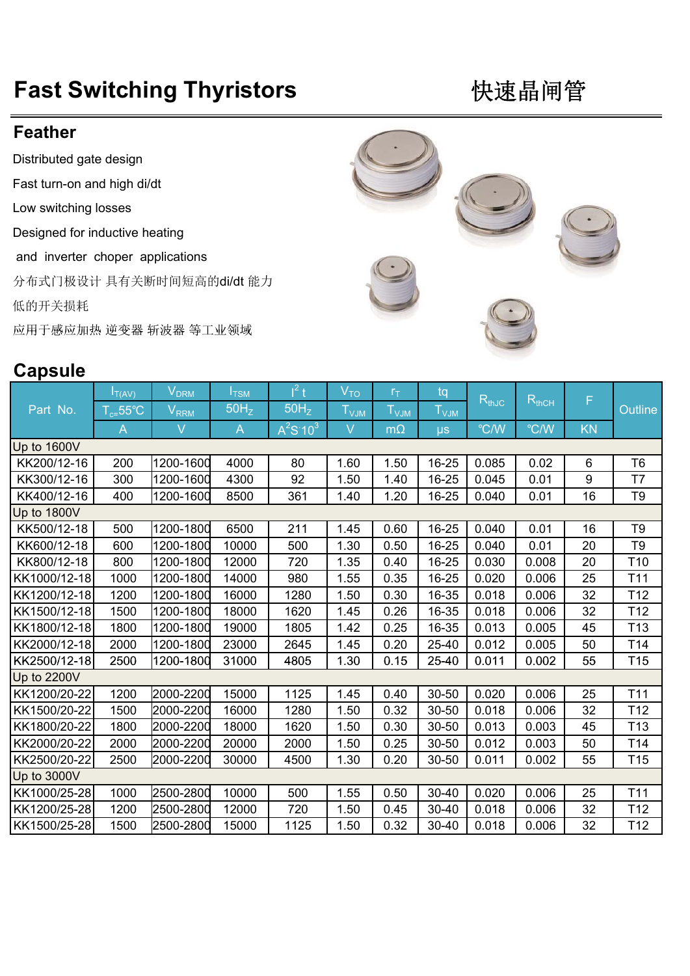## **Fast Switching Thyristors 快速晶闸管**

## **Feather**

Distributed gate design

Fast turn-on and high di/dt

Low switching losses

Designed for inductive heating

and inverter choper applications

分布式门极设计 具有关断时间短高的di/dt 能力

低的开关损耗

应用于感应加热 逆变器 斩波器 等工业领域

## **Capsule**  $I_{\overline{T(AV)}}$   $V_{DRM}$   $I_{\overline{TSM}}$  $1^2$  t  $V_{\text{TO}}$   $r_{\text{T}}$  tq  ${\sf T_{c=}}$ 55℃  ${\sf V_{RRM}}$  50H $_{\sf Z}$  50H $_{\sf Z}$  T $_{\sf VJM}$  T $_{\sf VJM}$  T $_{\sf VJM}$ A V A  $A^2$  $A^{2}S:10^{3}$ 103 V mΩ µs ℃/W ℃/W KN Up to 1600V Part No.  $T_{\text{c=55°C}}$  V<sub>RRM</sub> 50H<sub>z</sub> 50H<sub>z</sub> T<sub>V.IM</sub> T<sub>V.IM</sub> T<sub>V.IM</sub> T<sub>V.IM</sub> T<sub>V.IM</sub> T<sub>V.IM</sub> T<sub>V.IM</sub> T<sub>V.IM</sub> T<sub>V.IM</sub>  $R_{thJC}$   $R_{thCH}$  F Up to 1600V<br>KK200/12-16 200 1200-1600 4000 80 1.60 1.50 16-25 0.085 0.02 6 T6 KK300/12-16 300 1200-1600 4300 92 1.50 1.40 16-25 0.045 0.01 9 T7 KK400/12-16 400 1200-1600 8500 361 1.40 1.20 16-25 0.040 0.01 16 T9 Up to 1800V KK500/12-18 500 1200-1800 6500 211 1.45 0.60 16-25 0.040 0.01 16 T9 KK600/12-18 600 1200-1800 10000 500 1.30 0.50 16-25 0.040 0.01 20 T9 KK800/12-18 800 1200-1800 12000 720 1.35 0.40 16-25 0.030 0.008 20 T10 KK1000/12-18 1000 1200-1800 14000 980 1.55 0.35 16-25 0.020 0.006 25 T11 KK1200/12-18 1200 1200-1800 16000 1280 1.50 0.30 16-35 0.018 0.006 32 T12 KK1500/12-18 1500 1200-1800 18000 1620 1.45 0.26 16-35 0.018 0.006 32 T12 KK1800/12-18 1800 1200-1800 19000 1805 1.42 0.25 16-35 0.013 0.005 45 T13 KK2000/12-18| 2000 |1200-1800| 23000 | 2645 | 1.45 | 0.20 | 25-40 | 0.012 | 0.005 | 50 | T14 KK2500/12-18 2500 1200-1800 31000 4805 1.30 0.15 25-40 0.011 0.002 55 T15 Up to 2200V KK1200/20-22| 1200 |2000-2200| 15000 | 1125 | 1.45 | 0.40 | 30-50 | 0.020 | 0.006 | 25 | T11 KK1500/20-22| 1500 |2000-2200| 16000 | 1280 | 1.50 | 0.32 | 30-50 | 0.018 | 0.006 | 32 | T12 KK1800/20-22 1800 2000-2200 18000 1620 1.50 0.30 30-50 0.013 0.003 45 T13 KK2000/20-22 2000 2000-2200 20000 2000 1.50 0.25 30-50 0.012 0.003 50 T14 KK2500/20-22 2500 2000-2200 30000 4500 1.30 0.20 30-50 0.011 0.002 55 T15 Up to 3000V KK1000/25-28 1000 2500-2800 10000 500 1.55 0.50 30-40 0.020 0.006 25 T11 KK1200/25-28 1200 2500-2800 12000 720 1.50 0.45 30-40 0.018 0.006 32 T12 KK1500/25-28 1500 2500-2800 15000 1125 1.50 0.32 30-40 0.018 0.006 32 T12



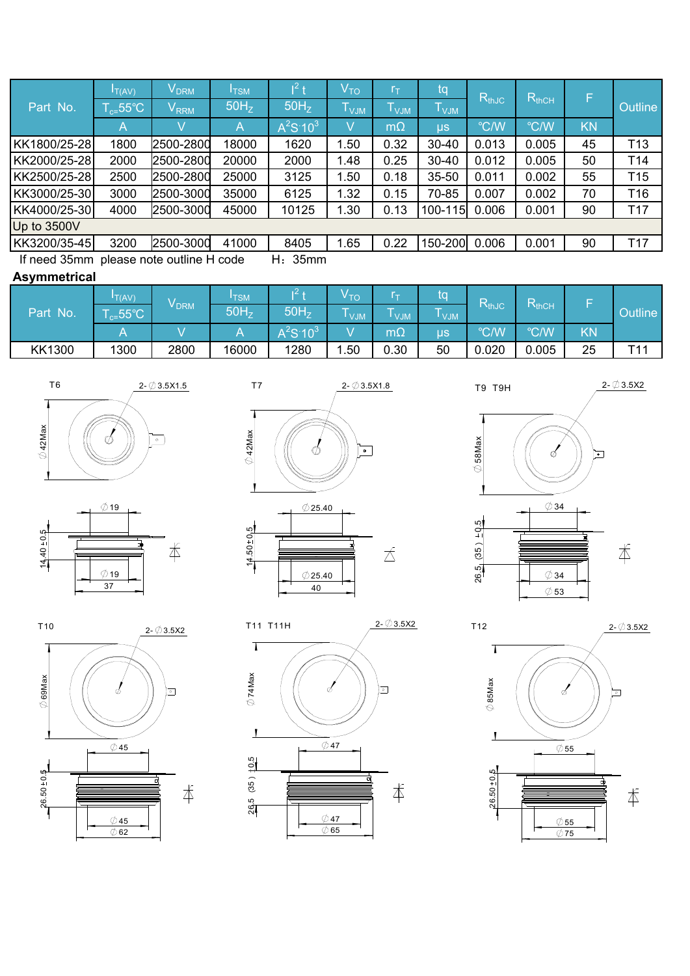| Part No.                                | $I_{T(AV)}$        | $\mathsf{v}_\mathsf{DRM}$ | <b>ITSM</b>      | $\mathbf{T}^2$         | V <sub>TO</sub>  | ſт.        | tq                          | $R_{thJC}$ | $R_{thCH}$    | F         | <b>Outline</b>  |
|-----------------------------------------|--------------------|---------------------------|------------------|------------------------|------------------|------------|-----------------------------|------------|---------------|-----------|-----------------|
|                                         | $\Gamma_{c=}$ 55°C | V <sub>RRM</sub>          | 50H <sub>z</sub> | 50H <sub>z</sub>       | $I_{\text{VJM}}$ | <b>VJM</b> | $\mathsf{T}_{\mathsf{VJM}}$ |            |               |           |                 |
|                                         | Α                  |                           | A                | $A^2S$ 10 <sup>3</sup> |                  | $m\Omega$  | $\mu$ s                     | °C/W       | $\degree$ C/W | <b>KN</b> |                 |
| KK1800/25-28                            | 1800               | 2500-2800                 | 18000            | 1620                   | 1.50             | 0.32       | $30 - 40$                   | 0.013      | 0.005         | 45        | T <sub>13</sub> |
| KK2000/25-28                            | 2000               | 2500-2800                 | 20000            | 2000                   | 1.48             | 0.25       | $30 - 40$                   | 0.012      | 0.005         | 50        | T <sub>14</sub> |
| KK2500/25-28                            | 2500               | 2500-2800                 | 25000            | 3125                   | 1.50             | 0.18       | $35 - 50$                   | 0.011      | 0.002         | 55        | T <sub>15</sub> |
| KK3000/25-30                            | 3000               | 2500-3000                 | 35000            | 6125                   | 1.32             | 0.15       | 70-85                       | 0.007      | 0.002         | 70        | T <sub>16</sub> |
| KK4000/25-30                            | 4000               | 2500-3000                 | 45000            | 10125                  | 1.30             | 0.13       | 100-115                     | 0.006      | 0.001         | 90        | T <sub>17</sub> |
| Up to 3500V                             |                    |                           |                  |                        |                  |            |                             |            |               |           |                 |
| KK3200/35-45                            | 3200               | 2500-3000                 | 41000            | 8405                   | 1.65             | 0.22       | 150-200 0.006               |            | 0.001         | 90        | T <sub>17</sub> |
| If need 35mm please note outline H code |                    | 35mm                      |                  |                        |                  |            |                             |            |               |           |                 |

## **Asymmetrical**

| Part No.      | T(AV)<br>$E_{c=}$ 55°C | V <sub>DRM</sub> | <b>ITSM</b><br>50H <sub>z</sub> | 50H <sub>z</sub> | ∙ то<br>-- |                          | ίO               | RthJc | D<br><b>HhCH</b><br>°C/W |    | <b>Outline</b> |
|---------------|------------------------|------------------|---------------------------------|------------------|------------|--------------------------|------------------|-------|--------------------------|----|----------------|
|               |                        |                  | л                               | $A^2S \ 10^3$    | <b>MLV</b> | <b>VJM</b><br>m $\Omega$ | <b>VJM</b><br>μs | °C/W  |                          | ΚŃ |                |
| <b>KK1300</b> | 1300                   | 2800             | 16000                           | 1280             | . .50      | 0.30                     | 50               | 0.020 | 0.005                    | 25 | T44            |